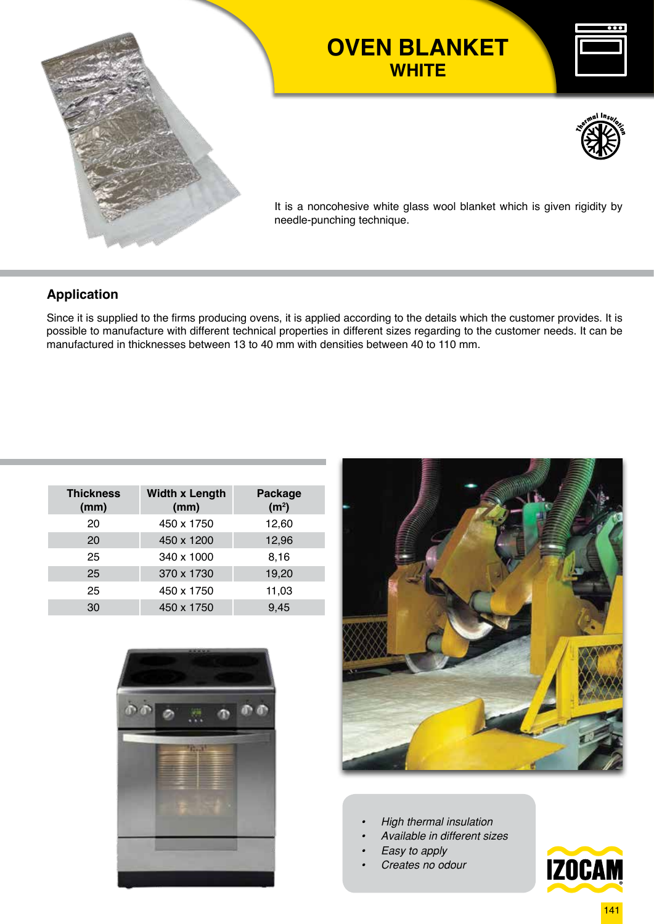

# **OVEN BLANKET WHITE**





It is a noncohesive white glass wool blanket which is given rigidity by needle-punching technique.

### **Application**

Since it is supplied to the firms producing ovens, it is applied according to the details which the customer provides. It is possible to manufacture with different technical properties in different sizes regarding to the customer needs. It can be manufactured in thicknesses between 13 to 40 mm with densities between 40 to 110 mm.

| <b>Thickness</b><br>(mm) | <b>Width x Length</b><br>(mm) | <b>Package</b><br>(m <sup>2</sup> ) |
|--------------------------|-------------------------------|-------------------------------------|
| 20                       | 450 x 1750                    | 12,60                               |
| 20                       | 450 x 1200                    | 12,96                               |
| 25                       | 340 x 1000                    | 8,16                                |
| 25                       | 370 x 1730                    | 19,20                               |
| 25                       | 450 x 1750                    | 11,03                               |
| 30                       | 450 x 1750                    | 9,45                                |





- *• High thermal insulation*
- *• Available in different sizes*
- *• Easy to apply*
- *• Creates no odour*